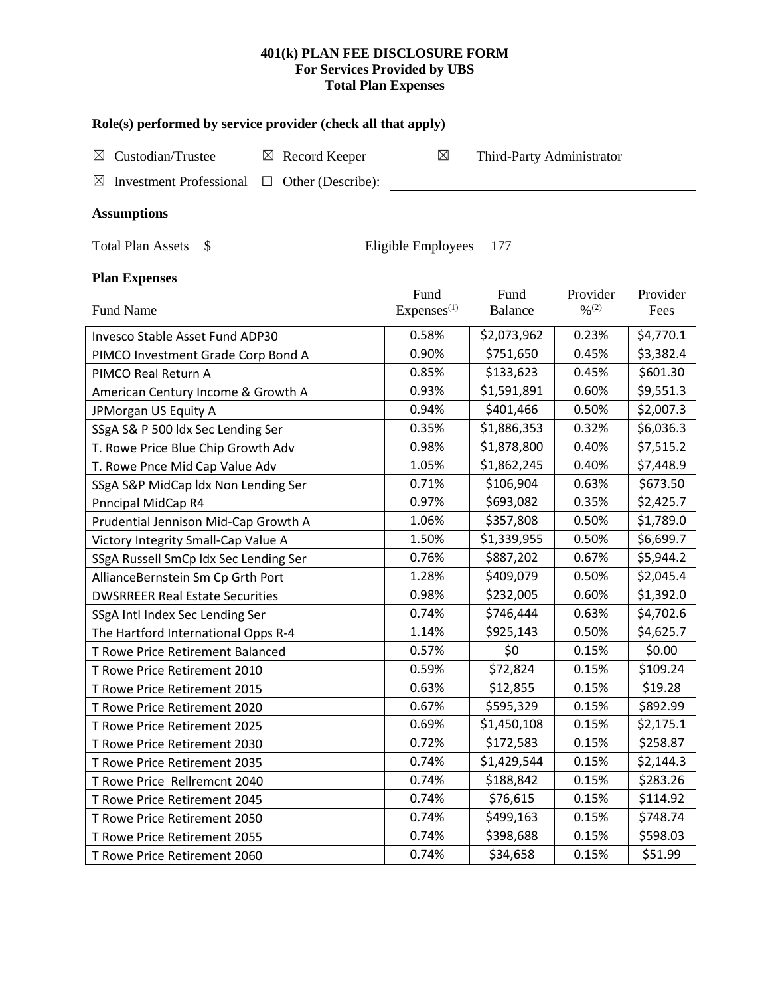# **401(k) PLAN FEE DISCLOSURE FORM For Services Provided by UBS Total Plan Expenses**

| Role(s) performed by service provider (check all that apply)              |                                |                           |                                          |                  |  |  |  |  |  |
|---------------------------------------------------------------------------|--------------------------------|---------------------------|------------------------------------------|------------------|--|--|--|--|--|
| Custodian/Trustee<br>$\boxtimes$<br>$\boxtimes$<br>Record Keeper          | ⊠                              | Third-Party Administrator |                                          |                  |  |  |  |  |  |
| <b>Investment Professional</b><br>$\Box$ Other (Describe):<br>$\boxtimes$ |                                |                           |                                          |                  |  |  |  |  |  |
|                                                                           |                                |                           |                                          |                  |  |  |  |  |  |
| <b>Assumptions</b>                                                        |                                |                           |                                          |                  |  |  |  |  |  |
| Total Plan Assets \$<br>Eligible Employees<br>- 177                       |                                |                           |                                          |                  |  |  |  |  |  |
| <b>Plan Expenses</b>                                                      |                                |                           |                                          |                  |  |  |  |  |  |
| <b>Fund Name</b>                                                          | Fund<br>Express <sup>(1)</sup> | Fund<br><b>Balance</b>    | Provider<br>$\frac{0}{2}$ <sup>(2)</sup> | Provider<br>Fees |  |  |  |  |  |
|                                                                           |                                |                           |                                          |                  |  |  |  |  |  |
| Invesco Stable Asset Fund ADP30                                           | 0.58%                          | \$2,073,962               | 0.23%                                    | \$4,770.1        |  |  |  |  |  |
| PIMCO Investment Grade Corp Bond A                                        | 0.90%                          | \$751,650                 | 0.45%                                    | \$3,382.4        |  |  |  |  |  |
| PIMCO Real Return A                                                       | 0.85%                          | \$133,623                 | 0.45%                                    | \$601.30         |  |  |  |  |  |
| American Century Income & Growth A                                        | 0.93%                          | \$1,591,891               | 0.60%                                    | \$9,551.3        |  |  |  |  |  |
| JPMorgan US Equity A                                                      | 0.94%                          | \$401,466                 | 0.50%                                    | \$2,007.3        |  |  |  |  |  |
| SSgA S& P 500 ldx Sec Lending Ser                                         | 0.35%                          | \$1,886,353               | 0.32%                                    | \$6,036.3        |  |  |  |  |  |
| T. Rowe Price Blue Chip Growth Adv                                        | 0.98%                          | \$1,878,800               | 0.40%                                    | \$7,515.2        |  |  |  |  |  |
| T. Rowe Pnce Mid Cap Value Adv                                            | 1.05%                          | \$1,862,245               | 0.40%                                    | \$7,448.9        |  |  |  |  |  |
| SSgA S&P MidCap ldx Non Lending Ser                                       | 0.71%                          | \$106,904                 | 0.63%                                    | \$673.50         |  |  |  |  |  |
| Pnncipal MidCap R4                                                        | 0.97%                          | \$693,082                 | 0.35%                                    | \$2,425.7        |  |  |  |  |  |
| Prudential Jennison Mid-Cap Growth A                                      | 1.06%                          | \$357,808                 | 0.50%                                    | \$1,789.0        |  |  |  |  |  |
| Victory Integrity Small-Cap Value A                                       | 1.50%                          | \$1,339,955               | 0.50%                                    | \$6,699.7        |  |  |  |  |  |
| SSgA Russell SmCp ldx Sec Lending Ser                                     | 0.76%                          | \$887,202                 | 0.67%                                    | \$5,944.2        |  |  |  |  |  |
| AllianceBernstein Sm Cp Grth Port                                         | 1.28%                          | \$409,079                 | 0.50%                                    | \$2,045.4        |  |  |  |  |  |
| <b>DWSRREER Real Estate Securities</b>                                    | 0.98%                          | \$232,005                 | 0.60%                                    | \$1,392.0        |  |  |  |  |  |
| SSgA Intl Index Sec Lending Ser                                           | 0.74%                          | \$746,444                 | 0.63%                                    | \$4,702.6        |  |  |  |  |  |
| The Hartford International Opps R-4                                       | 1.14%                          | \$925,143                 | 0.50%                                    | \$4,625.7        |  |  |  |  |  |
| T Rowe Price Retirement Balanced                                          | 0.57%                          | \$0                       | 0.15%                                    | \$0.00           |  |  |  |  |  |
| T Rowe Price Retirement 2010                                              | 0.59%                          | \$72,824                  | 0.15%                                    | \$109.24         |  |  |  |  |  |
| T Rowe Price Retirement 2015                                              | 0.63%                          | \$12,855                  | 0.15%                                    | \$19.28          |  |  |  |  |  |
| T Rowe Price Retirement 2020                                              | 0.67%                          | \$595,329                 | 0.15%                                    | \$892.99         |  |  |  |  |  |
| T Rowe Price Retirement 2025                                              | 0.69%                          | \$1,450,108               | 0.15%                                    | \$2,175.1        |  |  |  |  |  |
| T Rowe Price Retirement 2030                                              | 0.72%                          | \$172,583                 | 0.15%                                    | \$258.87         |  |  |  |  |  |
| T Rowe Price Retirement 2035                                              | 0.74%                          | \$1,429,544               | 0.15%                                    | \$2,144.3        |  |  |  |  |  |
| T Rowe Price Rellremcnt 2040                                              | 0.74%                          | \$188,842                 | 0.15%                                    | \$283.26         |  |  |  |  |  |
| T Rowe Price Retirement 2045                                              | 0.74%                          | \$76,615                  | 0.15%                                    | \$114.92         |  |  |  |  |  |
| T Rowe Price Retirement 2050                                              | 0.74%                          | \$499,163                 | 0.15%                                    | \$748.74         |  |  |  |  |  |
| T Rowe Price Retirement 2055                                              | 0.74%                          | \$398,688                 | 0.15%                                    | \$598.03         |  |  |  |  |  |
| T Rowe Price Retirement 2060                                              | 0.74%                          | \$34,658                  | 0.15%                                    | \$51.99          |  |  |  |  |  |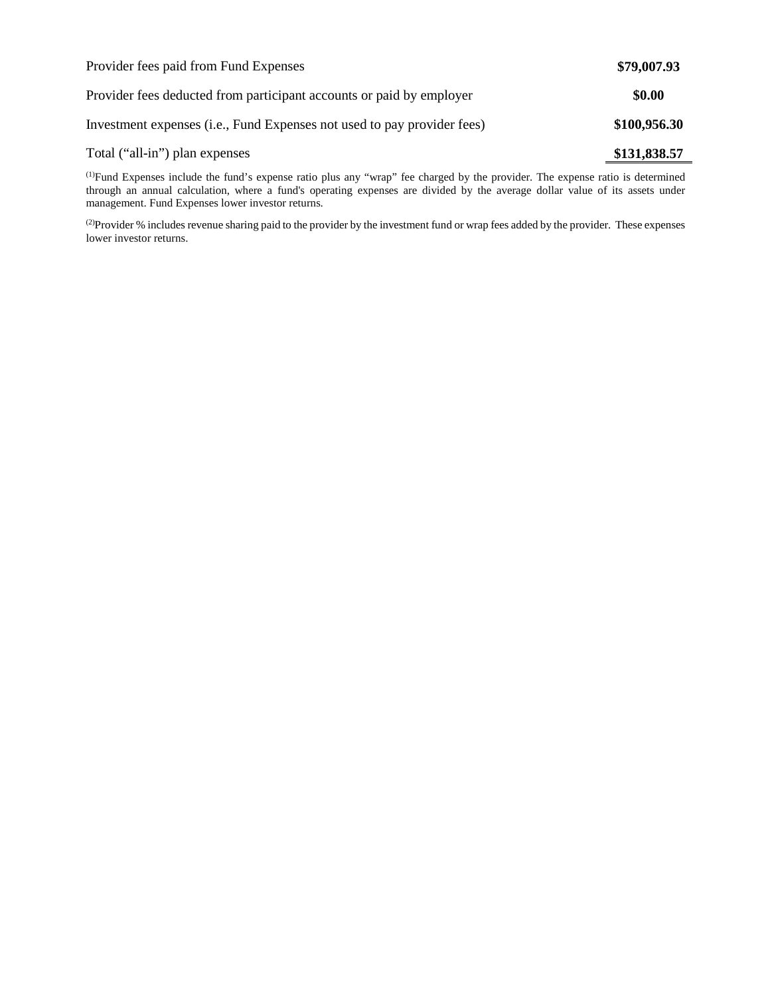| Provider fees paid from Fund Expenses                                   | \$79,007.93  |
|-------------------------------------------------------------------------|--------------|
| Provider fees deducted from participant accounts or paid by employer    | \$0.00       |
| Investment expenses (i.e., Fund Expenses not used to pay provider fees) | \$100,956.30 |
| Total ("all-in") plan expenses                                          | \$131,838.57 |

(1) Fund Expenses include the fund's expense ratio plus any "wrap" fee charged by the provider. The expense ratio is determined through an annual calculation, where a fund's operating expenses are divided by the average dollar value of its assets under management. Fund Expenses lower investor returns.

(2) Provider % includes revenue sharing paid to the provider by the investment fund or wrap fees added by the provider. These expenses lower investor returns.